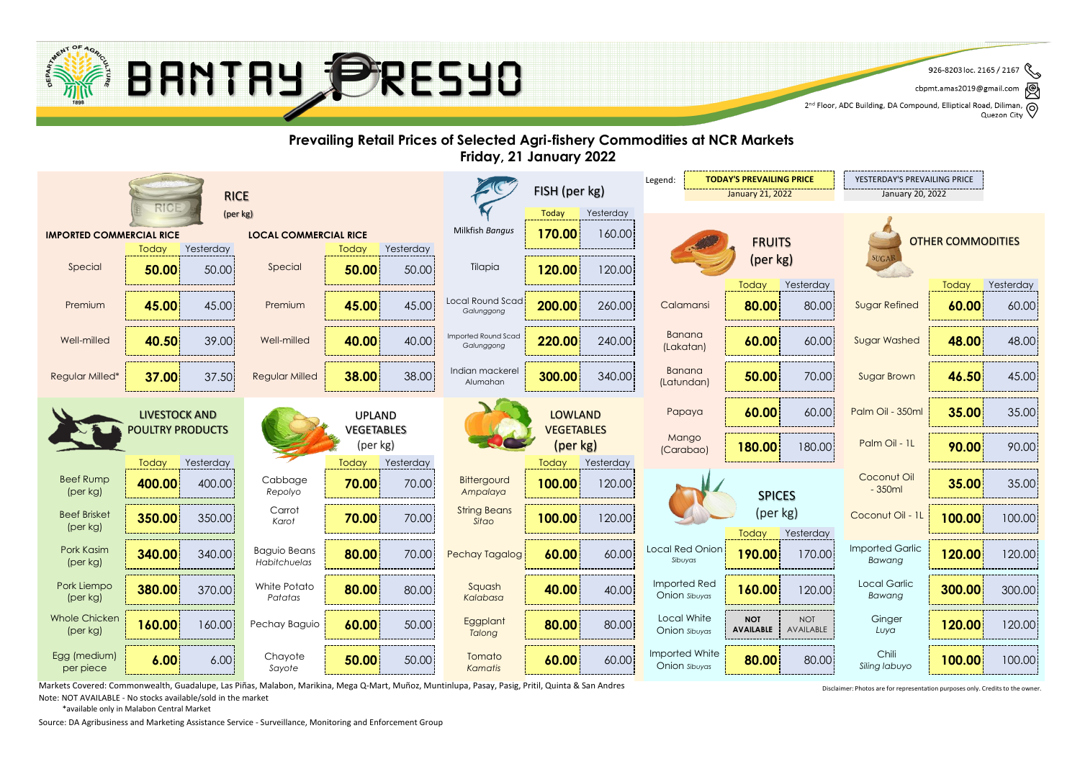

৻៙ cbpmt.amas2019@gmail.com

2<sup>nd</sup> Floor, ADC Building, DA Compound, Elliptical Road, Diliman, Q<br>2<sup>nd</sup> Floor, ADC Building, DA Compound, Elliptical Road, Diliman, Q Quezon City



Markets Covered: Commonwealth, Guadalupe, Las Piñas, Malabon, Marikina, Mega Q-Mart, Muñoz, Muntinlupa, Pasay, Pasig, Pritil, Quinta & San Andres

Note: NOT AVAILABLE - No stocks available/sold in the market

\*available only in Malabon Central Market

Source: DA Agribusiness and Marketing Assistance Service - Surveillance, Monitoring and Enforcement Group

Disclaimer: Photos are for representation purposes only. Credits to the owner.

 $\mathscr{E}$ 926-8203 loc. 2165 / 2167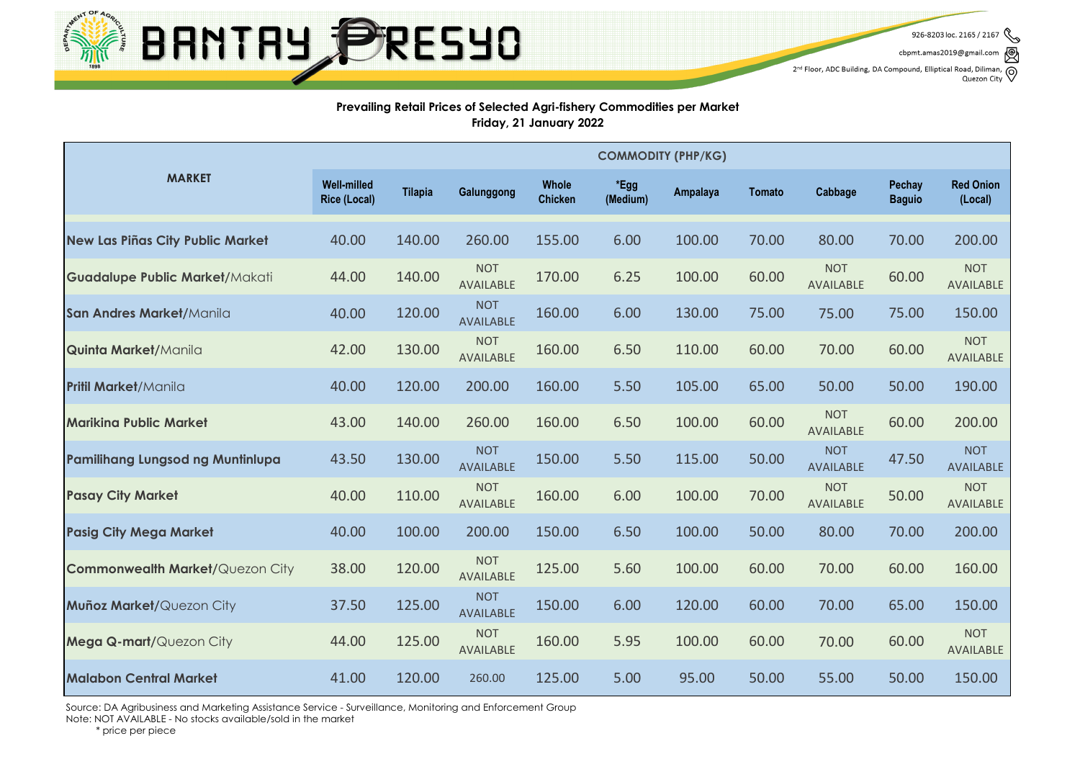

926-8203 loc. 2165 / 2167

cbpmt.amas2019@gmail.com

 $2^{nd}$  Floor, ADC Building, DA Compound, Elliptical Road, Diliman,  $\bigotimes$  Quezon City

#### **Prevailing Retail Prices of Selected Agri-fishery Commodities per Market Friday, 21 January 2022**

|                                         | <b>COMMODITY (PHP/KG)</b>                 |                |                                |                         |                  |                 |               |                                |                         |                                |
|-----------------------------------------|-------------------------------------------|----------------|--------------------------------|-------------------------|------------------|-----------------|---------------|--------------------------------|-------------------------|--------------------------------|
| <b>MARKET</b>                           | <b>Well-milled</b><br><b>Rice (Local)</b> | <b>Tilapia</b> | Galunggong                     | Whole<br><b>Chicken</b> | *Egg<br>(Medium) | <b>Ampalaya</b> | <b>Tomato</b> | Cabbage                        | Pechay<br><b>Baguio</b> | <b>Red Onion</b><br>(Local)    |
| <b>New Las Piñas City Public Market</b> | 40.00                                     | 140.00         | 260.00                         | 155.00                  | 6.00             | 100.00          | 70.00         | 80.00                          | 70.00                   | 200.00                         |
| <b>Guadalupe Public Market/Makati</b>   | 44.00                                     | 140.00         | <b>NOT</b><br><b>AVAILABLE</b> | 170.00                  | 6.25             | 100.00          | 60.00         | <b>NOT</b><br><b>AVAILABLE</b> | 60.00                   | <b>NOT</b><br>AVAILABLE        |
| San Andres Market/Manila                | 40.00                                     | 120.00         | <b>NOT</b><br><b>AVAILABLE</b> | 160.00                  | 6.00             | 130.00          | 75.00         | 75.00                          | 75.00                   | 150.00                         |
| <b>Quinta Market/Manila</b>             | 42.00                                     | 130.00         | <b>NOT</b><br><b>AVAILABLE</b> | 160.00                  | 6.50             | 110.00          | 60.00         | 70.00                          | 60.00                   | <b>NOT</b><br>AVAILABLE        |
| <b>Pritil Market/Manila</b>             | 40.00                                     | 120.00         | 200.00                         | 160.00                  | 5.50             | 105.00          | 65.00         | 50.00                          | 50.00                   | 190.00                         |
| <b>Marikina Public Market</b>           | 43.00                                     | 140.00         | 260.00                         | 160.00                  | 6.50             | 100.00          | 60.00         | <b>NOT</b><br><b>AVAILABLE</b> | 60.00                   | 200.00                         |
| <b>Pamilihang Lungsod ng Muntinlupa</b> | 43.50                                     | 130.00         | <b>NOT</b><br><b>AVAILABLE</b> | 150.00                  | 5.50             | 115.00          | 50.00         | <b>NOT</b><br>AVAILABLE        | 47.50                   | <b>NOT</b><br><b>AVAILABLE</b> |
| <b>Pasay City Market</b>                | 40.00                                     | 110.00         | <b>NOT</b><br>AVAILABLE        | 160.00                  | 6.00             | 100.00          | 70.00         | <b>NOT</b><br>AVAILABLE        | 50.00                   | <b>NOT</b><br>AVAILABLE        |
| <b>Pasig City Mega Market</b>           | 40.00                                     | 100.00         | 200.00                         | 150.00                  | 6.50             | 100.00          | 50.00         | 80.00                          | 70.00                   | 200.00                         |
| <b>Commonwealth Market/Quezon City</b>  | 38.00                                     | 120.00         | <b>NOT</b><br><b>AVAILABLE</b> | 125.00                  | 5.60             | 100.00          | 60.00         | 70.00                          | 60.00                   | 160.00                         |
| Muñoz Market/Quezon City                | 37.50                                     | 125.00         | <b>NOT</b><br><b>AVAILABLE</b> | 150.00                  | 6.00             | 120.00          | 60.00         | 70.00                          | 65.00                   | 150.00                         |
| Mega Q-mart/Quezon City                 | 44.00                                     | 125.00         | <b>NOT</b><br><b>AVAILABLE</b> | 160.00                  | 5.95             | 100.00          | 60.00         | 70.00                          | 60.00                   | <b>NOT</b><br>AVAILABLE        |
| <b>Malabon Central Market</b>           | 41.00                                     | 120.00         | 260.00                         | 125.00                  | 5.00             | 95.00           | 50.00         | 55.00                          | 50.00                   | 150.00                         |

Source: DA Agribusiness and Marketing Assistance Service - Surveillance, Monitoring and Enforcement Group

Note: NOT AVAILABLE - No stocks available/sold in the market

\* price per piece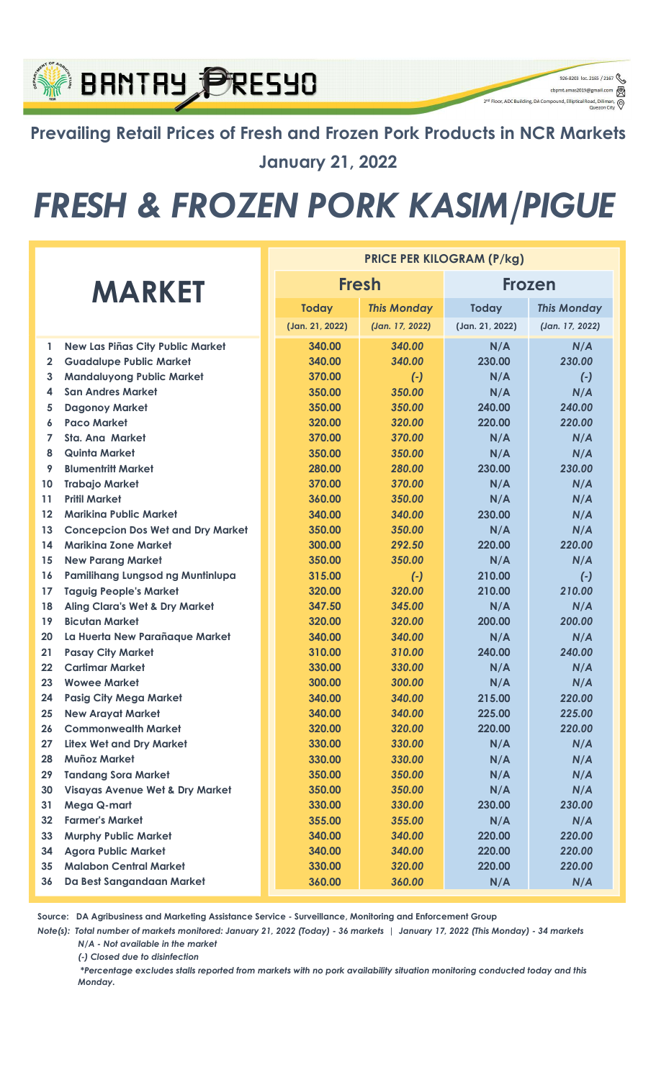### Prevailing Retail Prices of Fresh and Frozen Pork Products in NCR Markets January 21, 2022

926-8203 loc. 2165 / 2167

q

cbpmt.amas2019@gr

2<sup>nd</sup> Floor, ADC Building, DA Compound, Elliptical Re

**BRNTRY PRESYO** 

# FRESH & FROZEN PORK KASIM/PIGUE

|               |                                            | <b>PRICE PER KILOGRAM (P/kg)</b> |                    |                 |                    |  |  |
|---------------|--------------------------------------------|----------------------------------|--------------------|-----------------|--------------------|--|--|
| <b>MARKET</b> |                                            |                                  | <b>Fresh</b>       | Frozen          |                    |  |  |
|               |                                            | <b>Today</b>                     | <b>This Monday</b> | <b>Today</b>    | <b>This Monday</b> |  |  |
|               |                                            | (Jan. 21, 2022)                  | (Jan. 17, 2022)    | (Jan. 21, 2022) | (Jan. 17, 2022)    |  |  |
| $\mathbf{1}$  | New Las Piñas City Public Market           | 340.00                           | 340.00             | N/A             | N/A                |  |  |
| $\mathbf{2}$  | <b>Guadalupe Public Market</b>             | 340.00                           | 340.00             | 230.00          | 230.00             |  |  |
| 3             | <b>Mandaluyong Public Market</b>           | 370.00                           | $(-)$              | N/A             | $(-)$              |  |  |
| 4             | <b>San Andres Market</b>                   | 350.00                           | 350.00             | N/A             | N/A                |  |  |
| 5             | <b>Dagonoy Market</b>                      | 350.00                           | 350.00             | 240.00          | 240.00             |  |  |
| 6             | <b>Paco Market</b>                         | 320.00                           | 320.00             | 220.00          | 220.00             |  |  |
| 7             | Sta. Ana Market                            | 370.00                           | 370.00             | N/A             | N/A                |  |  |
| 8             | Quinta Market                              | 350.00                           | 350.00             | N/A             | N/A                |  |  |
| 9             | <b>Blumentritt Market</b>                  | 280.00                           | 280.00             | 230.00          | 230.00             |  |  |
| 10            | <b>Trabajo Market</b>                      | 370.00                           | 370.00             | N/A             | N/A                |  |  |
| 11            | <b>Pritil Market</b>                       | 360.00                           | 350.00             | N/A             | N/A                |  |  |
| 12            | <b>Mariking Public Market</b>              | 340.00                           | 340.00             | 230.00          | N/A                |  |  |
| 13            | <b>Concepcion Dos Wet and Dry Market</b>   | 350.00                           | 350.00             | N/A             | N/A                |  |  |
| 14            | <b>Marikina Zone Market</b>                | 300.00                           | 292.50             | 220.00          | 220.00             |  |  |
| 15            | <b>New Parang Market</b>                   | 350.00                           | 350.00             | N/A             | N/A                |  |  |
| 16            | Pamilihang Lungsod ng Muntinlupa           | 315.00                           | $(-)$              | 210.00          | $(-)$              |  |  |
| 17            | <b>Taguig People's Market</b>              | 320.00                           | 320.00             | 210.00          | 210.00             |  |  |
| 18            | <b>Aling Clara's Wet &amp; Dry Market</b>  | 347.50                           | 345.00             | N/A             | N/A                |  |  |
| 19            | <b>Bicutan Market</b>                      | 320.00                           | 320.00             | 200.00          | 200.00             |  |  |
| 20            | La Huerta New Parañaque Market             | 340.00                           | 340.00             | N/A             | N/A                |  |  |
| 21            | <b>Pasay City Market</b>                   | 310.00                           | 310.00             | 240.00          | 240.00             |  |  |
| 22            | <b>Cartimar Market</b>                     | 330.00                           | 330.00             | N/A             | N/A                |  |  |
| 23            | <b>Wowee Market</b>                        | 300.00                           | 300.00             | N/A             | N/A                |  |  |
| 24            | <b>Pasig City Mega Market</b>              | 340.00                           | 340.00             | 215.00          | 220.00             |  |  |
| 25            | <b>New Arayat Market</b>                   | 340.00                           | 340.00             | 225.00          | 225.00             |  |  |
| 26            | <b>Commonwealth Market</b>                 | 320.00                           | 320.00             | 220.00          | 220.00             |  |  |
| 27            | <b>Litex Wet and Dry Market</b>            | 330.00                           | 330.00             | N/A             | N/A                |  |  |
| 28            | <b>Muñoz Market</b>                        | 330.00                           | 330.00             | N/A             | N/A                |  |  |
| 29            | <b>Tandang Sora Market</b>                 | 350.00                           | 350.00             | N/A             | N/A                |  |  |
| 30            | <b>Visayas Avenue Wet &amp; Dry Market</b> | 350.00                           | 350.00             | N/A             | N/A                |  |  |
| 31            | Mega Q-mart                                | 330.00                           | 330.00             | 230.00          | 230.00             |  |  |
| 32            | <b>Farmer's Market</b>                     | 355.00                           | 355.00             | N/A             | N/A                |  |  |
| 33            | <b>Murphy Public Market</b>                | 340.00                           | 340.00             | 220.00          | 220.00             |  |  |
| 34            | <b>Agora Public Market</b>                 | 340.00                           | 340.00             | 220.00          | 220.00             |  |  |
| 35            | <b>Malabon Central Market</b>              | 330.00                           | 320.00             | 220.00          | 220.00             |  |  |
| 36            | Da Best Sangandaan Market                  | 360.00                           | 360.00             | N/A             | N/A                |  |  |

Source: DA Agribusiness and Marketing Assistance Service - Surveillance, Monitoring and Enforcement Group

N/A - Not available in the market Note(s): Total number of markets monitored: January 21, 2022 (Today) - 36 markets | January 17, 2022 (This Monday) - 34 markets

(-) Closed due to disinfection

 \*Percentage excludes stalls reported from markets with no pork availability situation monitoring conducted today and this Monday.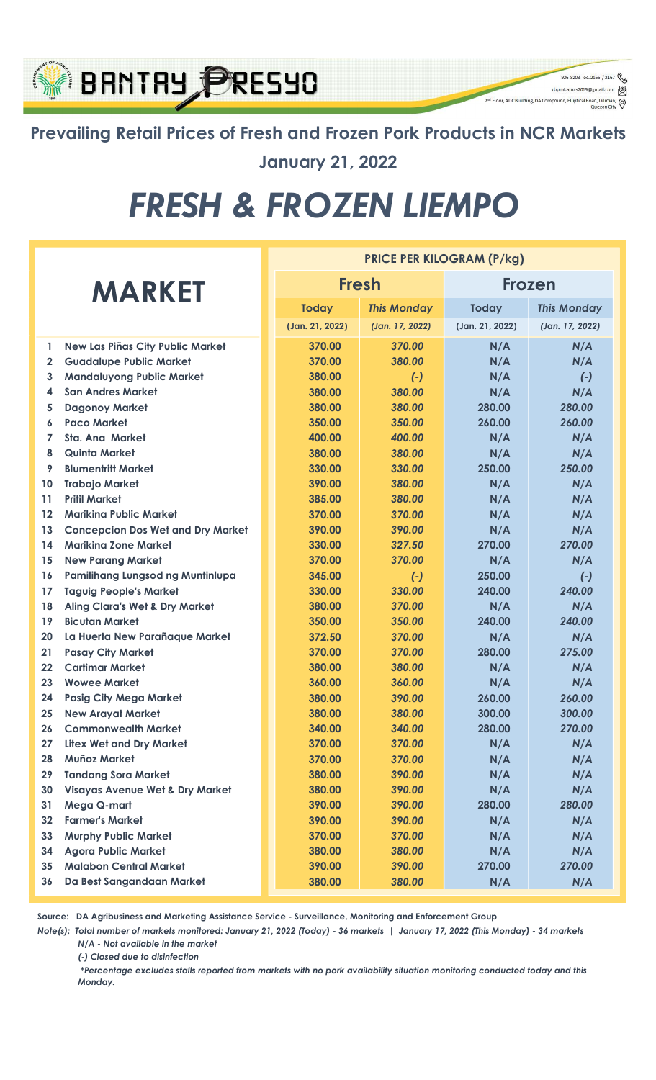

Prevailing Retail Prices of Fresh and Frozen Pork Products in NCR Markets January 21, 2022

926-8203 loc. 2165 / 2167  $\begin{picture}(16,10) \put(0,0){\line(1,0){100}} \put(15,0){\line(1,0){100}} \put(15,0){\line(1,0){100}} \put(15,0){\line(1,0){100}} \put(15,0){\line(1,0){100}} \put(15,0){\line(1,0){100}} \put(15,0){\line(1,0){100}} \put(15,0){\line(1,0){100}} \put(15,0){\line(1,0){100}} \put(15,0){\line(1,0){100}} \put(15,0){\line(1,0){100}} \$ 

Θ

-<br>2<sup>nd</sup> Floor, ADC Building, DA Compound, Elliptical Ro

# FRESH & FROZEN LIEMPO

|                |                                            | <b>PRICE PER KILOGRAM (P/kg)</b> |                    |                 |                    |  |  |  |
|----------------|--------------------------------------------|----------------------------------|--------------------|-----------------|--------------------|--|--|--|
| <b>MARKET</b>  |                                            |                                  | <b>Fresh</b>       | <b>Frozen</b>   |                    |  |  |  |
|                |                                            | <b>Today</b>                     | <b>This Monday</b> | <b>Today</b>    | <b>This Monday</b> |  |  |  |
|                |                                            | (Jan. 21, 2022)                  | (Jan. 17, 2022)    | (Jan. 21, 2022) | (Jan. 17, 2022)    |  |  |  |
| 1              | <b>New Las Piñas City Public Market</b>    | 370.00                           | 370.00             | N/A             | N/A                |  |  |  |
| $\mathbf{2}$   | <b>Guadalupe Public Market</b>             | 370.00                           | 380.00             | N/A             | N/A                |  |  |  |
| 3              | <b>Mandaluyong Public Market</b>           | 380.00                           | $(-)$              | N/A             | $(\cdot)$          |  |  |  |
| 4              | <b>San Andres Market</b>                   | 380.00                           | 380.00             | N/A             | N/A                |  |  |  |
| 5              | <b>Dagonoy Market</b>                      | 380.00                           | 380.00             | 280.00          | 280.00             |  |  |  |
| 6              | <b>Paco Market</b>                         | 350.00                           | 350.00             | 260.00          | 260.00             |  |  |  |
| $\overline{7}$ | <b>Sta. Ana Market</b>                     | 400.00                           | 400.00             | N/A             | N/A                |  |  |  |
| 8              | <b>Quinta Market</b>                       | 380.00                           | 380.00             | N/A             | N/A                |  |  |  |
| 9              | <b>Blumentritt Market</b>                  | 330.00                           | 330.00             | 250.00          | 250.00             |  |  |  |
| 10             | <b>Trabajo Market</b>                      | 390.00                           | 380.00             | N/A             | N/A                |  |  |  |
| 11             | <b>Pritil Market</b>                       | 385.00                           | 380.00             | N/A             | N/A                |  |  |  |
| 12             | <b>Marikina Public Market</b>              | 370.00                           | 370.00             | N/A             | N/A                |  |  |  |
| 13             | <b>Concepcion Dos Wet and Dry Market</b>   | 390.00                           | 390.00             | N/A             | N/A                |  |  |  |
| 14             | <b>Marikina Zone Market</b>                | 330.00                           | 327.50             | 270.00          | 270.00             |  |  |  |
| 15             | <b>New Parang Market</b>                   | 370.00                           | 370.00             | N/A             | N/A                |  |  |  |
| 16             | Pamilihang Lungsod ng Muntinlupa           | 345.00                           | $(-)$              | 250.00          | $(-)$              |  |  |  |
| 17             | <b>Taguig People's Market</b>              | 330.00                           | 330.00             | 240.00          | 240.00             |  |  |  |
| 18             | <b>Aling Clara's Wet &amp; Dry Market</b>  | 380.00                           | 370.00             | N/A             | N/A                |  |  |  |
| 19             | <b>Bicutan Market</b>                      | 350.00                           | 350.00             | 240.00          | 240.00             |  |  |  |
| 20             | La Huerta New Parañaque Market             | 372.50                           | 370.00             | N/A             | N/A                |  |  |  |
| 21             | <b>Pasay City Market</b>                   | 370.00                           | 370.00             | 280.00          | 275.00             |  |  |  |
| 22             | <b>Cartimar Market</b>                     | 380.00                           | 380.00             | N/A             | N/A                |  |  |  |
| 23             | <b>Wowee Market</b>                        | 360.00                           | 360.00             | N/A             | N/A                |  |  |  |
| 24             | <b>Pasig City Mega Market</b>              | 380.00                           | 390.00             | 260.00          | 260.00             |  |  |  |
| 25             | <b>New Arayat Market</b>                   | 380.00                           | 380.00             | 300.00          | 300.00             |  |  |  |
| 26             | <b>Commonwealth Market</b>                 | 340.00                           | 340.00             | 280.00          | 270.00             |  |  |  |
| 27             | <b>Litex Wet and Dry Market</b>            | 370.00                           | 370.00             | N/A             | N/A                |  |  |  |
| 28             | <b>Muñoz Market</b>                        | 370.00                           | 370.00             | N/A             | N/A                |  |  |  |
| 29             | <b>Tandang Sora Market</b>                 | 380.00                           | 390.00             | N/A             | N/A                |  |  |  |
| 30             | <b>Visayas Avenue Wet &amp; Dry Market</b> | 380.00                           | 390.00             | N/A             | N/A                |  |  |  |
| 31             | Mega Q-mart                                | 390.00                           | 390.00             | 280.00          | 280.00             |  |  |  |
| 32             | <b>Farmer's Market</b>                     | 390.00                           | 390.00             | N/A             | N/A                |  |  |  |
| 33             | <b>Murphy Public Market</b>                | 370.00                           | 370.00             | N/A             | N/A                |  |  |  |
| 34             | <b>Agora Public Market</b>                 | 380.00                           | 380.00             | N/A             | N/A                |  |  |  |
| 35             | <b>Malabon Central Market</b>              | 390.00                           | 390.00             | 270.00          | 270.00             |  |  |  |
| 36             | Da Best Sangandaan Market                  | 380.00                           | 380.00             | N/A             | N/A                |  |  |  |

Source: DA Agribusiness and Marketing Assistance Service - Surveillance, Monitoring and Enforcement Group

Note(s): Total number of markets monitored: January 21, 2022 (Today) - 36 markets | January 17, 2022 (This Monday) - 34 markets N/A - Not available in the market

(-) Closed due to disinfection

 \*Percentage excludes stalls reported from markets with no pork availability situation monitoring conducted today and this Monday.